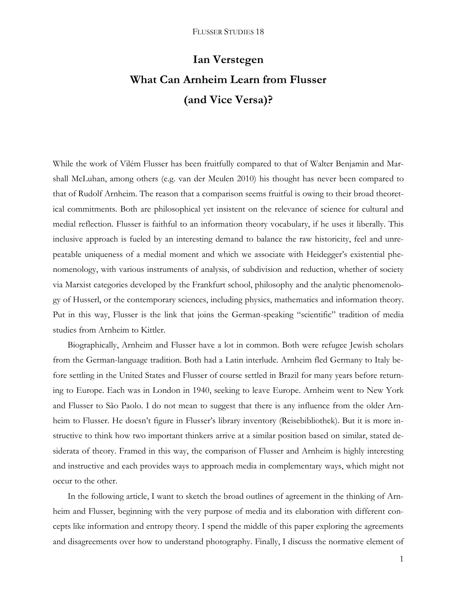# **Ian Verstegen What Can Arnheim Learn from Flusser (and Vice Versa)?**

While the work of Vilém Flusser has been fruitfully compared to that of Walter Benjamin and Marshall McLuhan, among others (e.g. van der Meulen 2010) his thought has never been compared to that of Rudolf Arnheim. The reason that a comparison seems fruitful is owing to their broad theoretical commitments. Both are philosophical yet insistent on the relevance of science for cultural and medial reflection. Flusser is faithful to an information theory vocabulary, if he uses it liberally. This inclusive approach is fueled by an interesting demand to balance the raw historicity, feel and unrepeatable uniqueness of a medial moment and which we associate with Heidegger's existential phenomenology, with various instruments of analysis, of subdivision and reduction, whether of society via Marxist categories developed by the Frankfurt school, philosophy and the analytic phenomenology of Husserl, or the contemporary sciences, including physics, mathematics and information theory. Put in this way, Flusser is the link that joins the German-speaking "scientific" tradition of media studies from Arnheim to Kittler.

Biographically, Arnheim and Flusser have a lot in common. Both were refugee Jewish scholars from the German-language tradition. Both had a Latin interlude. Arnheim fled Germany to Italy before settling in the United States and Flusser of course settled in Brazil for many years before returning to Europe. Each was in London in 1940, seeking to leave Europe. Arnheim went to New York and Flusser to São Paolo. I do not mean to suggest that there is any influence from the older Arnheim to Flusser. He doesn't figure in Flusser's library inventory (Reisebibliothek). But it is more instructive to think how two important thinkers arrive at a similar position based on similar, stated desiderata of theory. Framed in this way, the comparison of Flusser and Arnheim is highly interesting and instructive and each provides ways to approach media in complementary ways, which might not occur to the other.

In the following article, I want to sketch the broad outlines of agreement in the thinking of Arnheim and Flusser, beginning with the very purpose of media and its elaboration with different concepts like information and entropy theory. I spend the middle of this paper exploring the agreements and disagreements over how to understand photography. Finally, I discuss the normative element of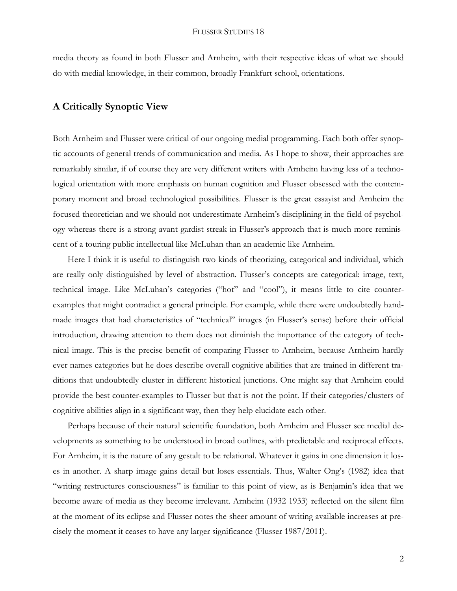media theory as found in both Flusser and Arnheim, with their respective ideas of what we should do with medial knowledge, in their common, broadly Frankfurt school, orientations.

## **A Critically Synoptic View**

Both Arnheim and Flusser were critical of our ongoing medial programming. Each both offer synoptic accounts of general trends of communication and media. As I hope to show, their approaches are remarkably similar, if of course they are very different writers with Arnheim having less of a technological orientation with more emphasis on human cognition and Flusser obsessed with the contemporary moment and broad technological possibilities. Flusser is the great essayist and Arnheim the focused theoretician and we should not underestimate Arnheim's disciplining in the field of psychology whereas there is a strong avant-gardist streak in Flusser's approach that is much more reminiscent of a touring public intellectual like McLuhan than an academic like Arnheim.

Here I think it is useful to distinguish two kinds of theorizing, categorical and individual, which are really only distinguished by level of abstraction. Flusser's concepts are categorical: image, text, technical image. Like McLuhan's categories ("hot" and "cool"), it means little to cite counterexamples that might contradict a general principle. For example, while there were undoubtedly handmade images that had characteristics of "technical" images (in Flusser's sense) before their official introduction, drawing attention to them does not diminish the importance of the category of technical image. This is the precise benefit of comparing Flusser to Arnheim, because Arnheim hardly ever names categories but he does describe overall cognitive abilities that are trained in different traditions that undoubtedly cluster in different historical junctions. One might say that Arnheim could provide the best counter-examples to Flusser but that is not the point. If their categories/clusters of cognitive abilities align in a significant way, then they help elucidate each other.

Perhaps because of their natural scientific foundation, both Arnheim and Flusser see medial developments as something to be understood in broad outlines, with predictable and reciprocal effects. For Arnheim, it is the nature of any gestalt to be relational. Whatever it gains in one dimension it loses in another. A sharp image gains detail but loses essentials. Thus, Walter Ong's (1982) idea that "writing restructures consciousness" is familiar to this point of view, as is Benjamin's idea that we become aware of media as they become irrelevant. Arnheim (1932 1933) reflected on the silent film at the moment of its eclipse and Flusser notes the sheer amount of writing available increases at precisely the moment it ceases to have any larger significance (Flusser 1987/2011).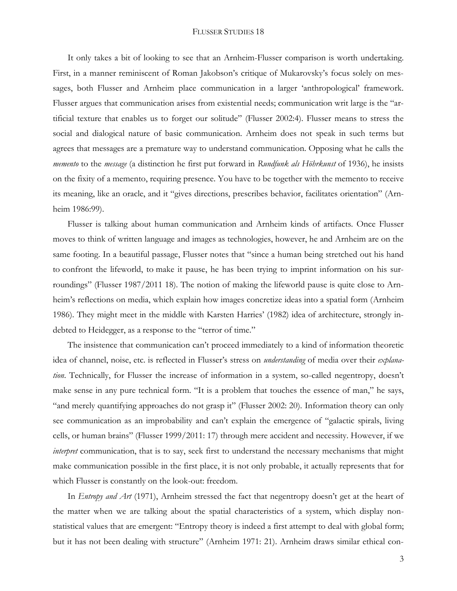#### FLUSSER STUDIES 18

It only takes a bit of looking to see that an Arnheim-Flusser comparison is worth undertaking. First, in a manner reminiscent of Roman Jakobson's critique of Mukarovsky's focus solely on messages, both Flusser and Arnheim place communication in a larger 'anthropological' framework. Flusser argues that communication arises from existential needs; communication writ large is the "artificial texture that enables us to forget our solitude" (Flusser 2002:4). Flusser means to stress the social and dialogical nature of basic communication. Arnheim does not speak in such terms but agrees that messages are a premature way to understand communication. Opposing what he calls the *memento* to the *message* (a distinction he first put forward in *Rundfunk als Höhrkunst* of 1936), he insists on the fixity of a memento, requiring presence. You have to be together with the memento to receive its meaning, like an oracle, and it "gives directions, prescribes behavior, facilitates orientation" (Arnheim 1986:99).

Flusser is talking about human communication and Arnheim kinds of artifacts. Once Flusser moves to think of written language and images as technologies, however, he and Arnheim are on the same footing. In a beautiful passage, Flusser notes that "since a human being stretched out his hand to confront the lifeworld, to make it pause, he has been trying to imprint information on his surroundings" (Flusser 1987/2011 18). The notion of making the lifeworld pause is quite close to Arnheim's reflections on media, which explain how images concretize ideas into a spatial form (Arnheim 1986). They might meet in the middle with Karsten Harries' (1982) idea of architecture, strongly indebted to Heidegger, as a response to the "terror of time."

The insistence that communication can't proceed immediately to a kind of information theoretic idea of channel, noise, etc. is reflected in Flusser's stress on *understanding* of media over their *explanation*. Technically, for Flusser the increase of information in a system, so-called negentropy, doesn't make sense in any pure technical form. "It is a problem that touches the essence of man," he says, "and merely quantifying approaches do not grasp it" (Flusser 2002: 20). Information theory can only see communication as an improbability and can't explain the emergence of "galactic spirals, living cells, or human brains" (Flusser 1999/2011: 17) through mere accident and necessity. However, if we *interpret* communication, that is to say, seek first to understand the necessary mechanisms that might make communication possible in the first place, it is not only probable, it actually represents that for which Flusser is constantly on the look-out: freedom.

In *Entropy and Art* (1971), Arnheim stressed the fact that negentropy doesn't get at the heart of the matter when we are talking about the spatial characteristics of a system, which display nonstatistical values that are emergent: "Entropy theory is indeed a first attempt to deal with global form; but it has not been dealing with structure" (Arnheim 1971: 21). Arnheim draws similar ethical con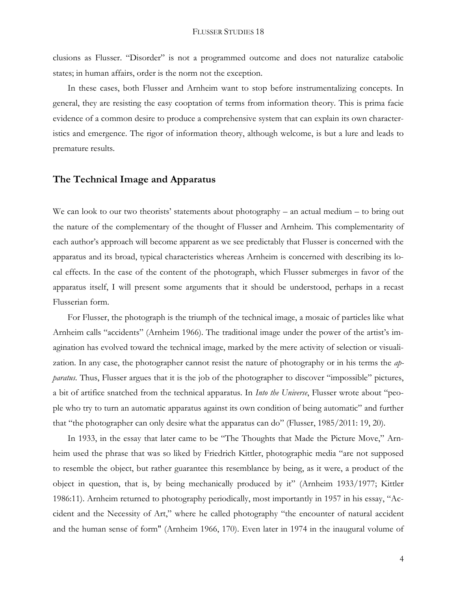clusions as Flusser. "Disorder" is not a programmed outcome and does not naturalize catabolic states; in human affairs, order is the norm not the exception.

In these cases, both Flusser and Arnheim want to stop before instrumentalizing concepts. In general, they are resisting the easy cooptation of terms from information theory. This is prima facie evidence of a common desire to produce a comprehensive system that can explain its own characteristics and emergence. The rigor of information theory, although welcome, is but a lure and leads to premature results.

#### **The Technical Image and Apparatus**

We can look to our two theorists' statements about photography – an actual medium – to bring out the nature of the complementary of the thought of Flusser and Arnheim. This complementarity of each author's approach will become apparent as we see predictably that Flusser is concerned with the apparatus and its broad, typical characteristics whereas Arnheim is concerned with describing its local effects. In the case of the content of the photograph, which Flusser submerges in favor of the apparatus itself, I will present some arguments that it should be understood, perhaps in a recast Flusserian form.

For Flusser, the photograph is the triumph of the technical image, a mosaic of particles like what Arnheim calls "accidents" (Arnheim 1966). The traditional image under the power of the artist's imagination has evolved toward the technical image, marked by the mere activity of selection or visualization. In any case, the photographer cannot resist the nature of photography or in his terms the *apparatus*. Thus, Flusser argues that it is the job of the photographer to discover "impossible" pictures, a bit of artifice snatched from the technical apparatus. In *Into the Universe*, Flusser wrote about "people who try to turn an automatic apparatus against its own condition of being automatic" and further that "the photographer can only desire what the apparatus can do" (Flusser, 1985/2011: 19, 20).

In 1933, in the essay that later came to be "The Thoughts that Made the Picture Move," Arnheim used the phrase that was so liked by Friedrich Kittler, photographic media "are not supposed to resemble the object, but rather guarantee this resemblance by being, as it were, a product of the object in question, that is, by being mechanically produced by it" (Arnheim 1933/1977; Kittler 1986:11). Arnheim returned to photography periodically, most importantly in 1957 in his essay, "Accident and the Necessity of Art," where he called photography "the encounter of natural accident and the human sense of form" (Arnheim 1966, 170). Even later in 1974 in the inaugural volume of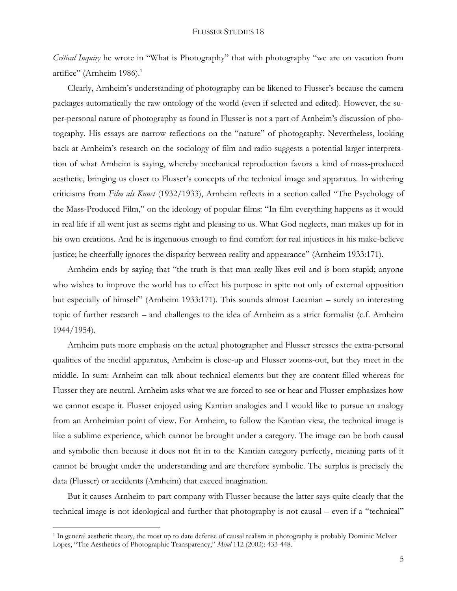*Critical Inquiry* he wrote in "What is Photography" that with photography "we are on vacation from artifice" (Arnheim 1986).<sup>1</sup>

Clearly, Arnheim's understanding of photography can be likened to Flusser's because the camera packages automatically the raw ontology of the world (even if selected and edited). However, the super-personal nature of photography as found in Flusser is not a part of Arnheim's discussion of photography. His essays are narrow reflections on the "nature" of photography. Nevertheless, looking back at Arnheim's research on the sociology of film and radio suggests a potential larger interpretation of what Arnheim is saying, whereby mechanical reproduction favors a kind of mass-produced aesthetic, bringing us closer to Flusser's concepts of the technical image and apparatus. In withering criticisms from *Film als Kunst* (1932/1933), Arnheim reflects in a section called "The Psychology of the Mass-Produced Film," on the ideology of popular films: "In film everything happens as it would in real life if all went just as seems right and pleasing to us. What God neglects, man makes up for in his own creations. And he is ingenuous enough to find comfort for real injustices in his make-believe justice; he cheerfully ignores the disparity between reality and appearance" (Arnheim 1933:171).

Arnheim ends by saying that "the truth is that man really likes evil and is born stupid; anyone who wishes to improve the world has to effect his purpose in spite not only of external opposition but especially of himself" (Arnheim 1933:171). This sounds almost Lacanian – surely an interesting topic of further research – and challenges to the idea of Arnheim as a strict formalist (c.f. Arnheim 1944/1954).

Arnheim puts more emphasis on the actual photographer and Flusser stresses the extra-personal qualities of the medial apparatus, Arnheim is close-up and Flusser zooms-out, but they meet in the middle. In sum: Arnheim can talk about technical elements but they are content-filled whereas for Flusser they are neutral. Arnheim asks what we are forced to see or hear and Flusser emphasizes how we cannot escape it. Flusser enjoyed using Kantian analogies and I would like to pursue an analogy from an Arnheimian point of view. For Arnheim, to follow the Kantian view, the technical image is like a sublime experience, which cannot be brought under a category. The image can be both causal and symbolic then because it does not fit in to the Kantian category perfectly, meaning parts of it cannot be brought under the understanding and are therefore symbolic. The surplus is precisely the data (Flusser) or accidents (Arnheim) that exceed imagination.

But it causes Arnheim to part company with Flusser because the latter says quite clearly that the technical image is not ideological and further that photography is not causal – even if a "technical"

 $\overline{a}$ 

<sup>&</sup>lt;sup>1</sup> In general aesthetic theory, the most up to date defense of causal realism in photography is probably Dominic McIver Lopes, "The Aesthetics of Photographic Transparency," *Mind* 112 (2003): 433-448.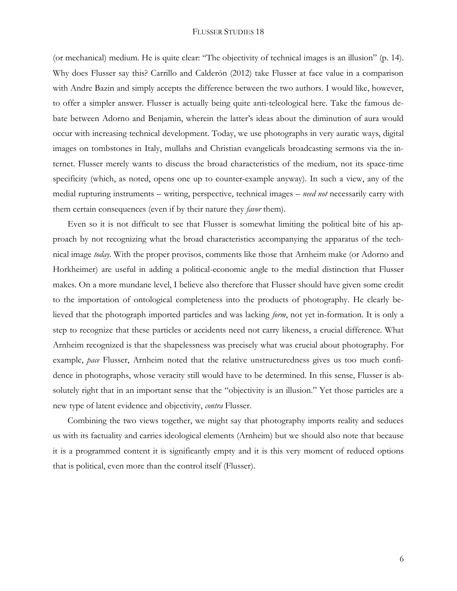(or mechanical) medium. He is quite clear: "The objectivity of technical images is an illusion" (p. 14). Why does Flusser say this? Carrillo and Calderón (2012) take Flusser at face value in a comparison with Andre Bazin and simply accepts the difference between the two authors. I would like, however, to offer a simpler answer. Flusser is actually being quite anti-teleological here. Take the famous debate between Adorno and Benjamin, wherein the latter's ideas about the diminution of aura would occur with increasing technical development. Today, we use photographs in very auratic ways, digital images on tombstones in Italy, mullahs and Christian evangelicals broadcasting sermons via the internet. Flusser merely wants to discuss the broad characteristics of the medium, not its space-time specificity (which, as noted, opens one up to counter-example anyway). In such a view, any of the medial rupturing instruments – writing, perspective, technical images – *need not* necessarily carry with them certain consequences (even if by their nature they *favor* them).

Even so it is not difficult to see that Flusser is somewhat limiting the political bite of his approach by not recognizing what the broad characteristics accompanying the apparatus of the technical image *today*. With the proper provisos, comments like those that Arnheim make (or Adorno and Horkheimer) are useful in adding a political-economic angle to the medial distinction that Flusser makes. On a more mundane level, I believe also therefore that Flusser should have given some credit to the importation of ontological completeness into the products of photography. He clearly believed that the photograph imported particles and was lacking *form*, not yet in-formation. It is only a step to recognize that these particles or accidents need not carry likeness, a crucial difference. What Arnheim recognized is that the shapelessness was precisely what was crucial about photography. For example, *pace* Flusser, Arnheim noted that the relative unstructuredness gives us too much confidence in photographs, whose veracity still would have to be determined. In this sense, Flusser is absolutely right that in an important sense that the "objectivity is an illusion." Yet those particles are a new type of latent evidence and objectivity, *contra* Flusser.

Combining the two views together, we might say that photography imports reality and seduces us with its factuality and carries ideological elements (Arnheim) but we should also note that because it is a programmed content it is significantly empty and it is this very moment of reduced options that is political, even more than the control itself (Flusser).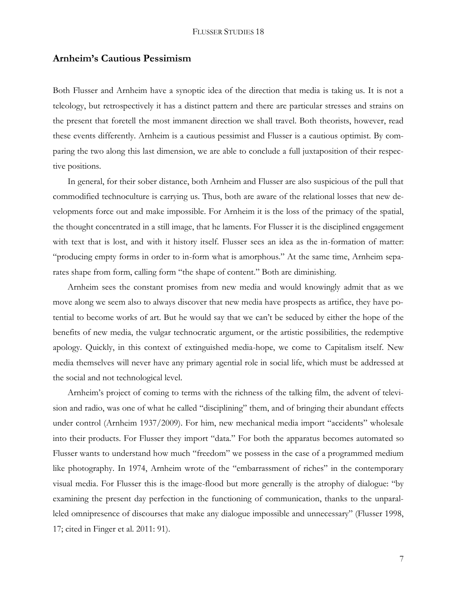#### **Arnheim's Cautious Pessimism**

Both Flusser and Arnheim have a synoptic idea of the direction that media is taking us. It is not a teleology, but retrospectively it has a distinct pattern and there are particular stresses and strains on the present that foretell the most immanent direction we shall travel. Both theorists, however, read these events differently. Arnheim is a cautious pessimist and Flusser is a cautious optimist. By comparing the two along this last dimension, we are able to conclude a full juxtaposition of their respective positions.

In general, for their sober distance, both Arnheim and Flusser are also suspicious of the pull that commodified technoculture is carrying us. Thus, both are aware of the relational losses that new developments force out and make impossible. For Arnheim it is the loss of the primacy of the spatial, the thought concentrated in a still image, that he laments. For Flusser it is the disciplined engagement with text that is lost, and with it history itself. Flusser sees an idea as the in-formation of matter: "producing empty forms in order to in-form what is amorphous." At the same time, Arnheim separates shape from form, calling form "the shape of content." Both are diminishing.

Arnheim sees the constant promises from new media and would knowingly admit that as we move along we seem also to always discover that new media have prospects as artifice, they have potential to become works of art. But he would say that we can't be seduced by either the hope of the benefits of new media, the vulgar technocratic argument, or the artistic possibilities, the redemptive apology. Quickly, in this context of extinguished media-hope, we come to Capitalism itself. New media themselves will never have any primary agential role in social life, which must be addressed at the social and not technological level.

Arnheim's project of coming to terms with the richness of the talking film, the advent of television and radio, was one of what he called "disciplining" them, and of bringing their abundant effects under control (Arnheim 1937/2009). For him, new mechanical media import "accidents" wholesale into their products. For Flusser they import "data." For both the apparatus becomes automated so Flusser wants to understand how much "freedom" we possess in the case of a programmed medium like photography. In 1974, Arnheim wrote of the "embarrassment of riches" in the contemporary visual media. For Flusser this is the image-flood but more generally is the atrophy of dialogue: "by examining the present day perfection in the functioning of communication, thanks to the unparalleled omnipresence of discourses that make any dialogue impossible and unnecessary" (Flusser 1998, 17; cited in Finger et al. 2011: 91).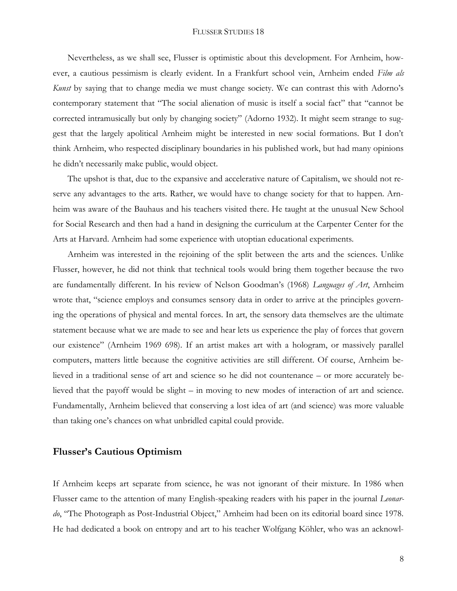#### FLUSSER STUDIES 18

Nevertheless, as we shall see, Flusser is optimistic about this development. For Arnheim, however, a cautious pessimism is clearly evident. In a Frankfurt school vein, Arnheim ended *Film als Kunst* by saying that to change media we must change society. We can contrast this with Adorno's contemporary statement that "The social alienation of music is itself a social fact" that "cannot be corrected intramusically but only by changing society" (Adorno 1932). It might seem strange to suggest that the largely apolitical Arnheim might be interested in new social formations. But I don't think Arnheim, who respected disciplinary boundaries in his published work, but had many opinions he didn't necessarily make public, would object.

The upshot is that, due to the expansive and accelerative nature of Capitalism, we should not reserve any advantages to the arts. Rather, we would have to change society for that to happen. Arnheim was aware of the Bauhaus and his teachers visited there. He taught at the unusual New School for Social Research and then had a hand in designing the curriculum at the Carpenter Center for the Arts at Harvard. Arnheim had some experience with utoptian educational experiments.

Arnheim was interested in the rejoining of the split between the arts and the sciences. Unlike Flusser, however, he did not think that technical tools would bring them together because the two are fundamentally different. In his review of Nelson Goodman's (1968) *Languages of Art*, Arnheim wrote that, "science employs and consumes sensory data in order to arrive at the principles governing the operations of physical and mental forces. In art, the sensory data themselves are the ultimate statement because what we are made to see and hear lets us experience the play of forces that govern our existence" (Arnheim 1969 698). If an artist makes art with a hologram, or massively parallel computers, matters little because the cognitive activities are still different. Of course, Arnheim believed in a traditional sense of art and science so he did not countenance – or more accurately believed that the payoff would be slight – in moving to new modes of interaction of art and science. Fundamentally, Arnheim believed that conserving a lost idea of art (and science) was more valuable than taking one's chances on what unbridled capital could provide.

### **Flusser's Cautious Optimism**

If Arnheim keeps art separate from science, he was not ignorant of their mixture. In 1986 when Flusser came to the attention of many English-speaking readers with his paper in the journal *Leonardo*, "The Photograph as Post-Industrial Object," Arnheim had been on its editorial board since 1978. He had dedicated a book on entropy and art to his teacher Wolfgang Köhler, who was an acknowl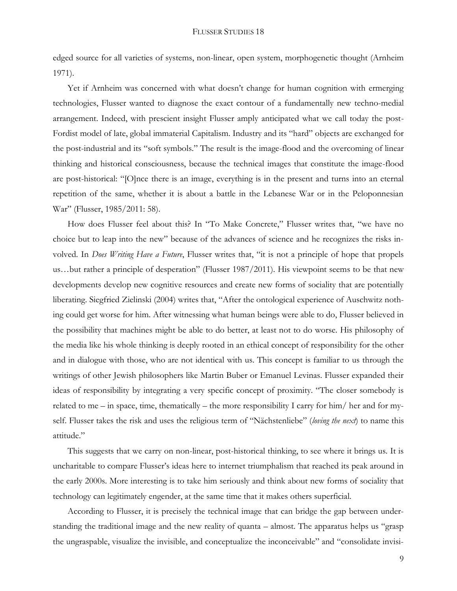edged source for all varieties of systems, non-linear, open system, morphogenetic thought (Arnheim 1971).

Yet if Arnheim was concerned with what doesn't change for human cognition with ermerging technologies, Flusser wanted to diagnose the exact contour of a fundamentally new techno-medial arrangement. Indeed, with prescient insight Flusser amply anticipated what we call today the post-Fordist model of late, global immaterial Capitalism. Industry and its "hard" objects are exchanged for the post-industrial and its "soft symbols." The result is the image-flood and the overcoming of linear thinking and historical consciousness, because the technical images that constitute the image-flood are post-historical: "[O]nce there is an image, everything is in the present and turns into an eternal repetition of the same, whether it is about a battle in the Lebanese War or in the Peloponnesian War" (Flusser, 1985/2011: 58).

How does Flusser feel about this? In "To Make Concrete," Flusser writes that, "we have no choice but to leap into the new" because of the advances of science and he recognizes the risks involved. In *Does Writing Have a Future*, Flusser writes that, "it is not a principle of hope that propels us…but rather a principle of desperation" (Flusser 1987/2011). His viewpoint seems to be that new developments develop new cognitive resources and create new forms of sociality that are potentially liberating. Siegfried Zielinski (2004) writes that, "After the ontological experience of Auschwitz nothing could get worse for him. After witnessing what human beings were able to do, Flusser believed in the possibility that machines might be able to do better, at least not to do worse. His philosophy of the media like his whole thinking is deeply rooted in an ethical concept of responsibility for the other and in dialogue with those, who are not identical with us. This concept is familiar to us through the writings of other Jewish philosophers like Martin Buber or Emanuel Levinas. Flusser expanded their ideas of responsibility by integrating a very specific concept of proximity. "The closer somebody is related to me – in space, time, thematically – the more responsibility I carry for him/ her and for myself. Flusser takes the risk and uses the religious term of "Nächstenliebe" (*loving the next*) to name this attitude."

This suggests that we carry on non-linear, post-historical thinking, to see where it brings us. It is uncharitable to compare Flusser's ideas here to internet triumphalism that reached its peak around in the early 2000s. More interesting is to take him seriously and think about new forms of sociality that technology can legitimately engender, at the same time that it makes others superficial.

According to Flusser, it is precisely the technical image that can bridge the gap between understanding the traditional image and the new reality of quanta – almost. The apparatus helps us "grasp the ungraspable, visualize the invisible, and conceptualize the inconceivable" and "consolidate invisi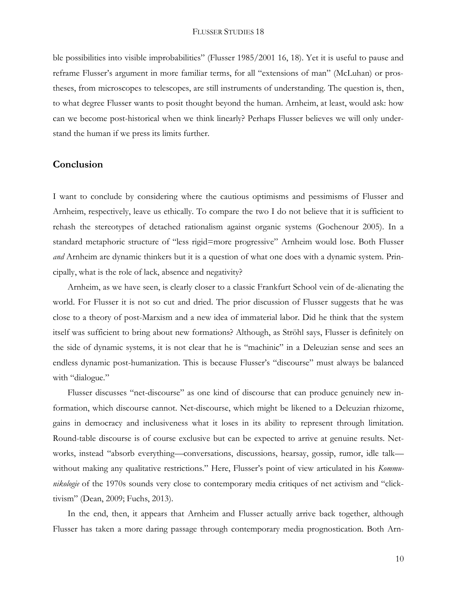ble possibilities into visible improbabilities" (Flusser 1985/2001 16, 18). Yet it is useful to pause and reframe Flusser's argument in more familiar terms, for all "extensions of man" (McLuhan) or prostheses, from microscopes to telescopes, are still instruments of understanding. The question is, then, to what degree Flusser wants to posit thought beyond the human. Arnheim, at least, would ask: how can we become post-historical when we think linearly? Perhaps Flusser believes we will only understand the human if we press its limits further.

## **Conclusion**

I want to conclude by considering where the cautious optimisms and pessimisms of Flusser and Arnheim, respectively, leave us ethically. To compare the two I do not believe that it is sufficient to rehash the stereotypes of detached rationalism against organic systems (Gochenour 2005). In a standard metaphoric structure of "less rigid=more progressive" Arnheim would lose. Both Flusser *and* Arnheim are dynamic thinkers but it is a question of what one does with a dynamic system. Principally, what is the role of lack, absence and negativity?

Arnheim, as we have seen, is clearly closer to a classic Frankfurt School vein of de-alienating the world. For Flusser it is not so cut and dried. The prior discussion of Flusser suggests that he was close to a theory of post-Marxism and a new idea of immaterial labor. Did he think that the system itself was sufficient to bring about new formations? Although, as Ströhl says, Flusser is definitely on the side of dynamic systems, it is not clear that he is "machinic" in a Deleuzian sense and sees an endless dynamic post-humanization. This is because Flusser's "discourse" must always be balanced with "dialogue."

Flusser discusses "net-discourse" as one kind of discourse that can produce genuinely new information, which discourse cannot. Net-discourse, which might be likened to a Deleuzian rhizome, gains in democracy and inclusiveness what it loses in its ability to represent through limitation. Round-table discourse is of course exclusive but can be expected to arrive at genuine results. Networks, instead "absorb everything—conversations, discussions, hearsay, gossip, rumor, idle talk without making any qualitative restrictions." Here, Flusser's point of view articulated in his *Kommunikologie* of the 1970s sounds very close to contemporary media critiques of net activism and "clicktivism" (Dean, 2009; Fuchs, 2013).

In the end, then, it appears that Arnheim and Flusser actually arrive back together, although Flusser has taken a more daring passage through contemporary media prognostication. Both Arn